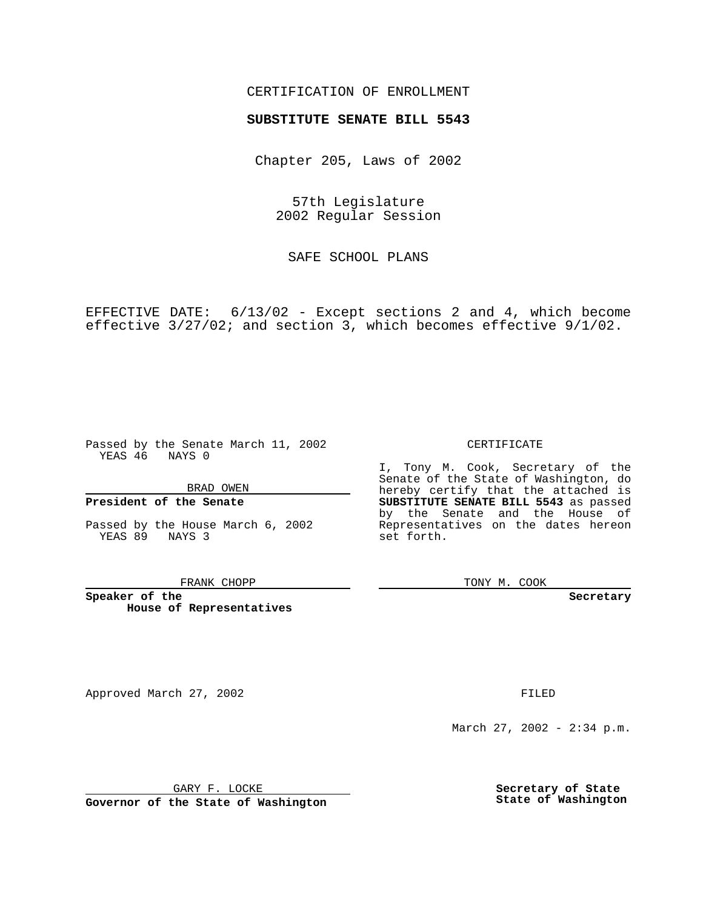## CERTIFICATION OF ENROLLMENT

# **SUBSTITUTE SENATE BILL 5543**

Chapter 205, Laws of 2002

57th Legislature 2002 Regular Session

SAFE SCHOOL PLANS

EFFECTIVE DATE: 6/13/02 - Except sections 2 and 4, which become effective 3/27/02; and section 3, which becomes effective 9/1/02.

Passed by the Senate March 11, 2002 YEAS 46 NAYS 0

BRAD OWEN

## **President of the Senate**

Passed by the House March 6, 2002 YEAS 89 NAYS 3

#### FRANK CHOPP

**Speaker of the House of Representatives**

Approved March 27, 2002 **FILED** 

March 27, 2002 - 2:34 p.m.

GARY F. LOCKE

**Governor of the State of Washington**

**Secretary of State State of Washington**

CERTIFICATE

I, Tony M. Cook, Secretary of the Senate of the State of Washington, do hereby certify that the attached is **SUBSTITUTE SENATE BILL 5543** as passed by the Senate and the House of Representatives on the dates hereon set forth.

TONY M. COOK

**Secretary**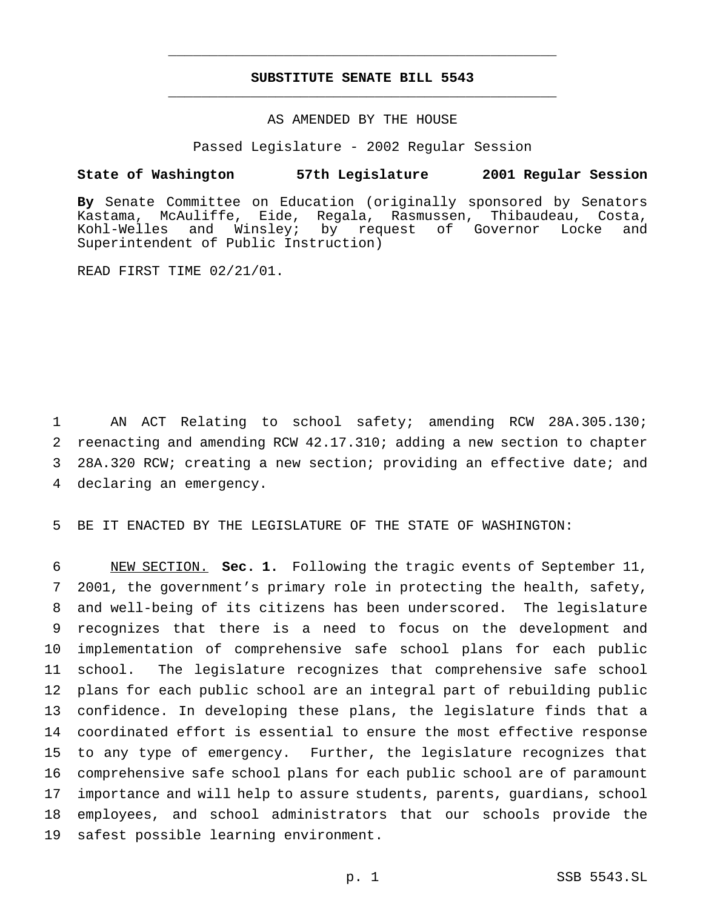## **SUBSTITUTE SENATE BILL 5543** \_\_\_\_\_\_\_\_\_\_\_\_\_\_\_\_\_\_\_\_\_\_\_\_\_\_\_\_\_\_\_\_\_\_\_\_\_\_\_\_\_\_\_\_\_\_\_

\_\_\_\_\_\_\_\_\_\_\_\_\_\_\_\_\_\_\_\_\_\_\_\_\_\_\_\_\_\_\_\_\_\_\_\_\_\_\_\_\_\_\_\_\_\_\_

## AS AMENDED BY THE HOUSE

Passed Legislature - 2002 Regular Session

### **State of Washington 57th Legislature 2001 Regular Session**

**By** Senate Committee on Education (originally sponsored by Senators Kastama, McAuliffe, Eide, Regala, Rasmussen, Thibaudeau, Costa, Kohl-Welles and Winsley; by request of Governor Locke and Superintendent of Public Instruction)

READ FIRST TIME 02/21/01.

 AN ACT Relating to school safety; amending RCW 28A.305.130; reenacting and amending RCW 42.17.310; adding a new section to chapter 28A.320 RCW; creating a new section; providing an effective date; and declaring an emergency.

BE IT ENACTED BY THE LEGISLATURE OF THE STATE OF WASHINGTON:

 NEW SECTION. **Sec. 1.** Following the tragic events of September 11, 2001, the government's primary role in protecting the health, safety, and well-being of its citizens has been underscored. The legislature recognizes that there is a need to focus on the development and implementation of comprehensive safe school plans for each public school. The legislature recognizes that comprehensive safe school plans for each public school are an integral part of rebuilding public confidence. In developing these plans, the legislature finds that a coordinated effort is essential to ensure the most effective response to any type of emergency. Further, the legislature recognizes that comprehensive safe school plans for each public school are of paramount importance and will help to assure students, parents, guardians, school employees, and school administrators that our schools provide the safest possible learning environment.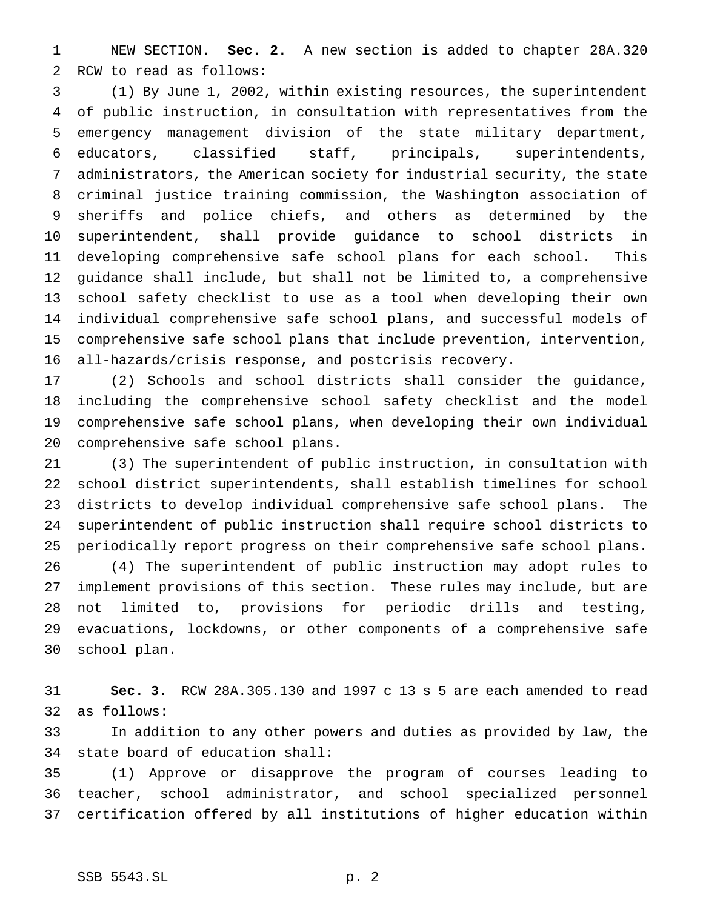NEW SECTION. **Sec. 2.** A new section is added to chapter 28A.320 RCW to read as follows:

 (1) By June 1, 2002, within existing resources, the superintendent of public instruction, in consultation with representatives from the emergency management division of the state military department, educators, classified staff, principals, superintendents, administrators, the American society for industrial security, the state criminal justice training commission, the Washington association of sheriffs and police chiefs, and others as determined by the superintendent, shall provide guidance to school districts in developing comprehensive safe school plans for each school. This guidance shall include, but shall not be limited to, a comprehensive school safety checklist to use as a tool when developing their own individual comprehensive safe school plans, and successful models of comprehensive safe school plans that include prevention, intervention, all-hazards/crisis response, and postcrisis recovery.

 (2) Schools and school districts shall consider the guidance, including the comprehensive school safety checklist and the model comprehensive safe school plans, when developing their own individual comprehensive safe school plans.

 (3) The superintendent of public instruction, in consultation with school district superintendents, shall establish timelines for school districts to develop individual comprehensive safe school plans. The superintendent of public instruction shall require school districts to periodically report progress on their comprehensive safe school plans. (4) The superintendent of public instruction may adopt rules to implement provisions of this section. These rules may include, but are

 not limited to, provisions for periodic drills and testing, evacuations, lockdowns, or other components of a comprehensive safe school plan.

 **Sec. 3.** RCW 28A.305.130 and 1997 c 13 s 5 are each amended to read as follows:

 In addition to any other powers and duties as provided by law, the state board of education shall:

 (1) Approve or disapprove the program of courses leading to teacher, school administrator, and school specialized personnel certification offered by all institutions of higher education within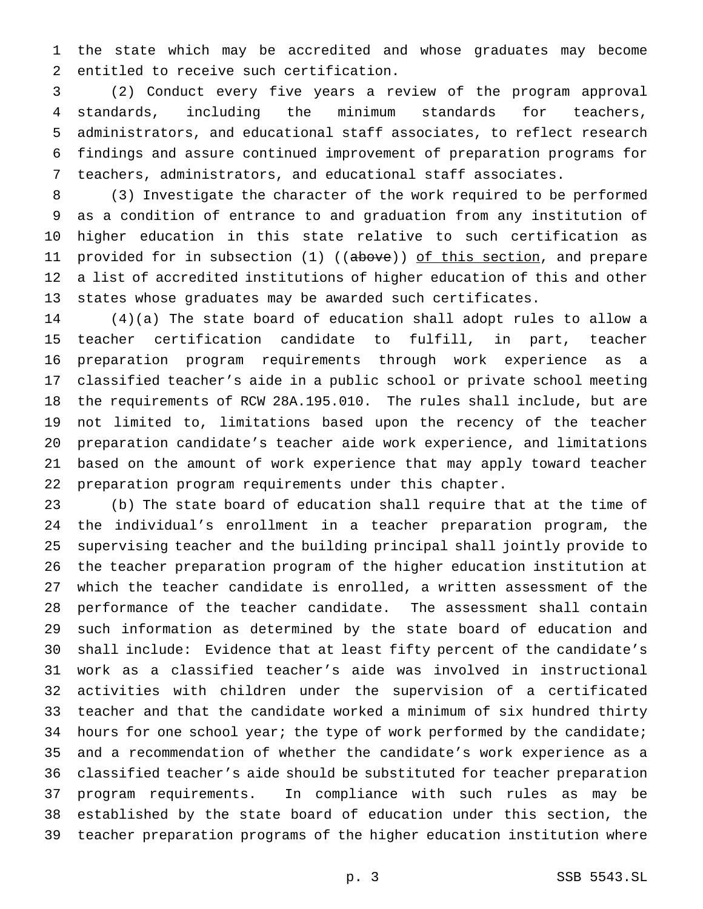the state which may be accredited and whose graduates may become entitled to receive such certification.

 (2) Conduct every five years a review of the program approval standards, including the minimum standards for teachers, administrators, and educational staff associates, to reflect research findings and assure continued improvement of preparation programs for teachers, administrators, and educational staff associates.

 (3) Investigate the character of the work required to be performed as a condition of entrance to and graduation from any institution of higher education in this state relative to such certification as 11 provided for in subsection (1) ((above)) of this section, and prepare a list of accredited institutions of higher education of this and other states whose graduates may be awarded such certificates.

 (4)(a) The state board of education shall adopt rules to allow a teacher certification candidate to fulfill, in part, teacher preparation program requirements through work experience as a classified teacher's aide in a public school or private school meeting the requirements of RCW 28A.195.010. The rules shall include, but are not limited to, limitations based upon the recency of the teacher preparation candidate's teacher aide work experience, and limitations based on the amount of work experience that may apply toward teacher preparation program requirements under this chapter.

 (b) The state board of education shall require that at the time of the individual's enrollment in a teacher preparation program, the supervising teacher and the building principal shall jointly provide to the teacher preparation program of the higher education institution at which the teacher candidate is enrolled, a written assessment of the performance of the teacher candidate. The assessment shall contain such information as determined by the state board of education and shall include: Evidence that at least fifty percent of the candidate's work as a classified teacher's aide was involved in instructional activities with children under the supervision of a certificated teacher and that the candidate worked a minimum of six hundred thirty 34 hours for one school year; the type of work performed by the candidate; and a recommendation of whether the candidate's work experience as a classified teacher's aide should be substituted for teacher preparation program requirements. In compliance with such rules as may be established by the state board of education under this section, the teacher preparation programs of the higher education institution where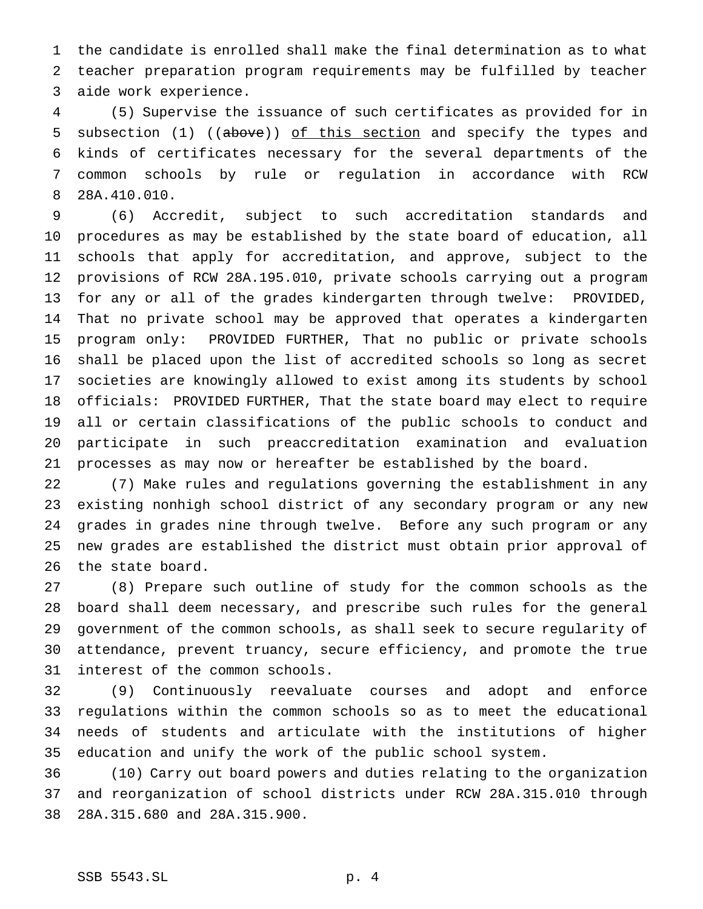the candidate is enrolled shall make the final determination as to what teacher preparation program requirements may be fulfilled by teacher aide work experience.

 (5) Supervise the issuance of such certificates as provided for in 5 subsection (1) ((above)) of this section and specify the types and kinds of certificates necessary for the several departments of the common schools by rule or regulation in accordance with RCW 28A.410.010.

 (6) Accredit, subject to such accreditation standards and procedures as may be established by the state board of education, all schools that apply for accreditation, and approve, subject to the provisions of RCW 28A.195.010, private schools carrying out a program for any or all of the grades kindergarten through twelve: PROVIDED, That no private school may be approved that operates a kindergarten program only: PROVIDED FURTHER, That no public or private schools shall be placed upon the list of accredited schools so long as secret societies are knowingly allowed to exist among its students by school officials: PROVIDED FURTHER, That the state board may elect to require all or certain classifications of the public schools to conduct and participate in such preaccreditation examination and evaluation processes as may now or hereafter be established by the board.

 (7) Make rules and regulations governing the establishment in any existing nonhigh school district of any secondary program or any new grades in grades nine through twelve. Before any such program or any new grades are established the district must obtain prior approval of the state board.

 (8) Prepare such outline of study for the common schools as the board shall deem necessary, and prescribe such rules for the general government of the common schools, as shall seek to secure regularity of attendance, prevent truancy, secure efficiency, and promote the true interest of the common schools.

 (9) Continuously reevaluate courses and adopt and enforce regulations within the common schools so as to meet the educational needs of students and articulate with the institutions of higher education and unify the work of the public school system.

 (10) Carry out board powers and duties relating to the organization and reorganization of school districts under RCW 28A.315.010 through 28A.315.680 and 28A.315.900.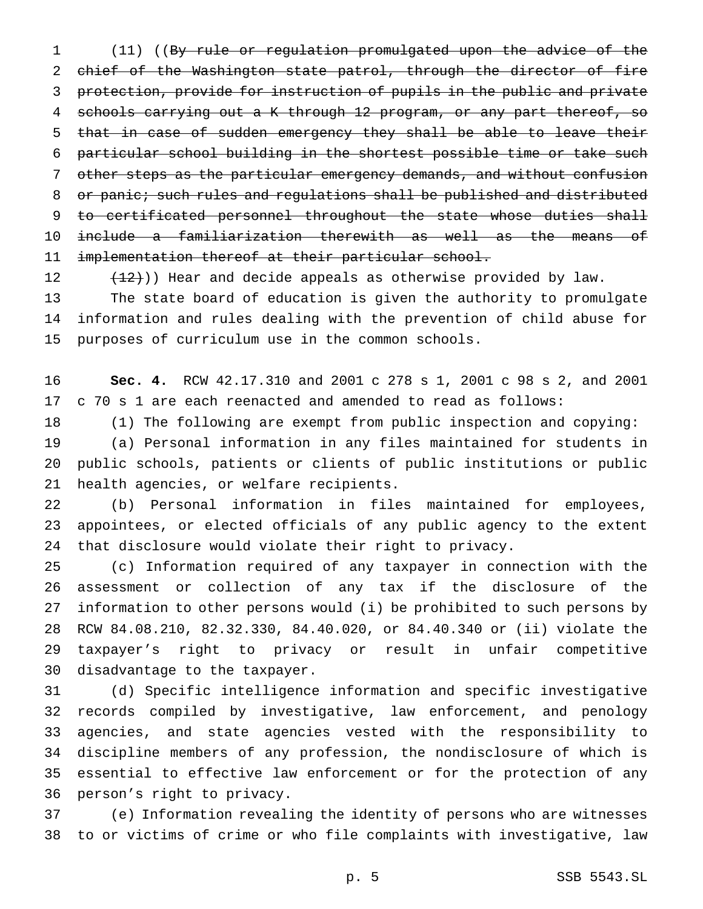(11) ((By rule or regulation promulgated upon the advice of the chief of the Washington state patrol, through the director of fire protection, provide for instruction of pupils in the public and private schools carrying out a K through 12 program, or any part thereof, so that in case of sudden emergency they shall be able to leave their particular school building in the shortest possible time or take such other steps as the particular emergency demands, and without confusion 8 or panic; such rules and regulations shall be published and distributed 9 to certificated personnel throughout the state whose duties shall include a familiarization therewith as well as the means of implementation thereof at their particular school.

12  $(12)$ )) Hear and decide appeals as otherwise provided by law.

 The state board of education is given the authority to promulgate information and rules dealing with the prevention of child abuse for purposes of curriculum use in the common schools.

 **Sec. 4.** RCW 42.17.310 and 2001 c 278 s 1, 2001 c 98 s 2, and 2001 c 70 s 1 are each reenacted and amended to read as follows:

(1) The following are exempt from public inspection and copying:

 (a) Personal information in any files maintained for students in public schools, patients or clients of public institutions or public health agencies, or welfare recipients.

 (b) Personal information in files maintained for employees, appointees, or elected officials of any public agency to the extent that disclosure would violate their right to privacy.

 (c) Information required of any taxpayer in connection with the assessment or collection of any tax if the disclosure of the information to other persons would (i) be prohibited to such persons by RCW 84.08.210, 82.32.330, 84.40.020, or 84.40.340 or (ii) violate the taxpayer's right to privacy or result in unfair competitive disadvantage to the taxpayer.

 (d) Specific intelligence information and specific investigative records compiled by investigative, law enforcement, and penology agencies, and state agencies vested with the responsibility to discipline members of any profession, the nondisclosure of which is essential to effective law enforcement or for the protection of any person's right to privacy.

 (e) Information revealing the identity of persons who are witnesses to or victims of crime or who file complaints with investigative, law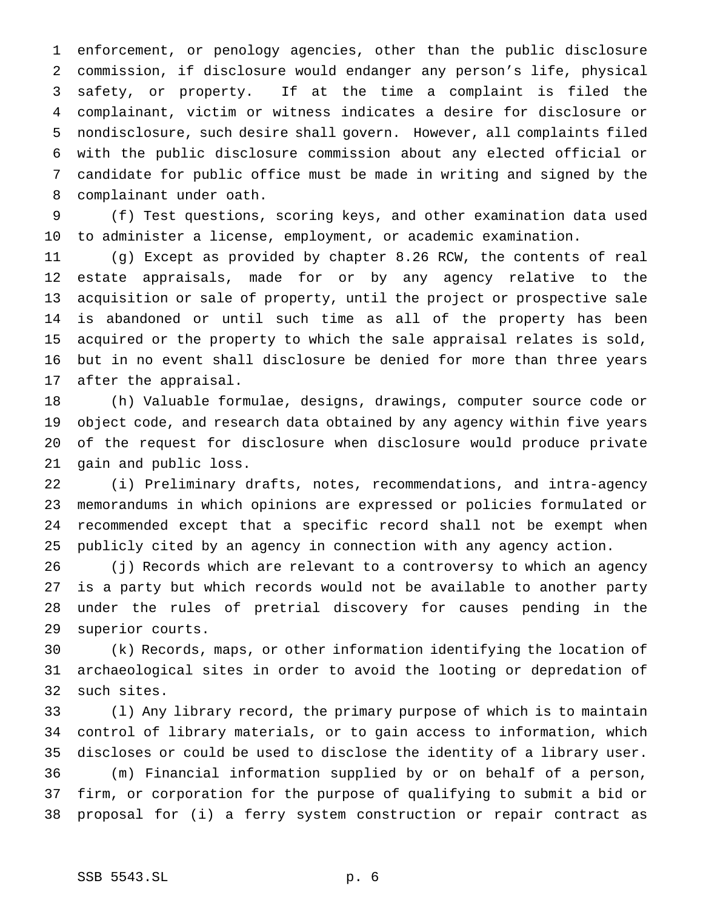enforcement, or penology agencies, other than the public disclosure commission, if disclosure would endanger any person's life, physical safety, or property. If at the time a complaint is filed the complainant, victim or witness indicates a desire for disclosure or nondisclosure, such desire shall govern. However, all complaints filed with the public disclosure commission about any elected official or candidate for public office must be made in writing and signed by the complainant under oath.

 (f) Test questions, scoring keys, and other examination data used to administer a license, employment, or academic examination.

 (g) Except as provided by chapter 8.26 RCW, the contents of real estate appraisals, made for or by any agency relative to the acquisition or sale of property, until the project or prospective sale is abandoned or until such time as all of the property has been acquired or the property to which the sale appraisal relates is sold, but in no event shall disclosure be denied for more than three years after the appraisal.

 (h) Valuable formulae, designs, drawings, computer source code or object code, and research data obtained by any agency within five years of the request for disclosure when disclosure would produce private gain and public loss.

 (i) Preliminary drafts, notes, recommendations, and intra-agency memorandums in which opinions are expressed or policies formulated or recommended except that a specific record shall not be exempt when publicly cited by an agency in connection with any agency action.

 (j) Records which are relevant to a controversy to which an agency is a party but which records would not be available to another party under the rules of pretrial discovery for causes pending in the superior courts.

 (k) Records, maps, or other information identifying the location of archaeological sites in order to avoid the looting or depredation of such sites.

 (l) Any library record, the primary purpose of which is to maintain control of library materials, or to gain access to information, which discloses or could be used to disclose the identity of a library user. (m) Financial information supplied by or on behalf of a person, firm, or corporation for the purpose of qualifying to submit a bid or proposal for (i) a ferry system construction or repair contract as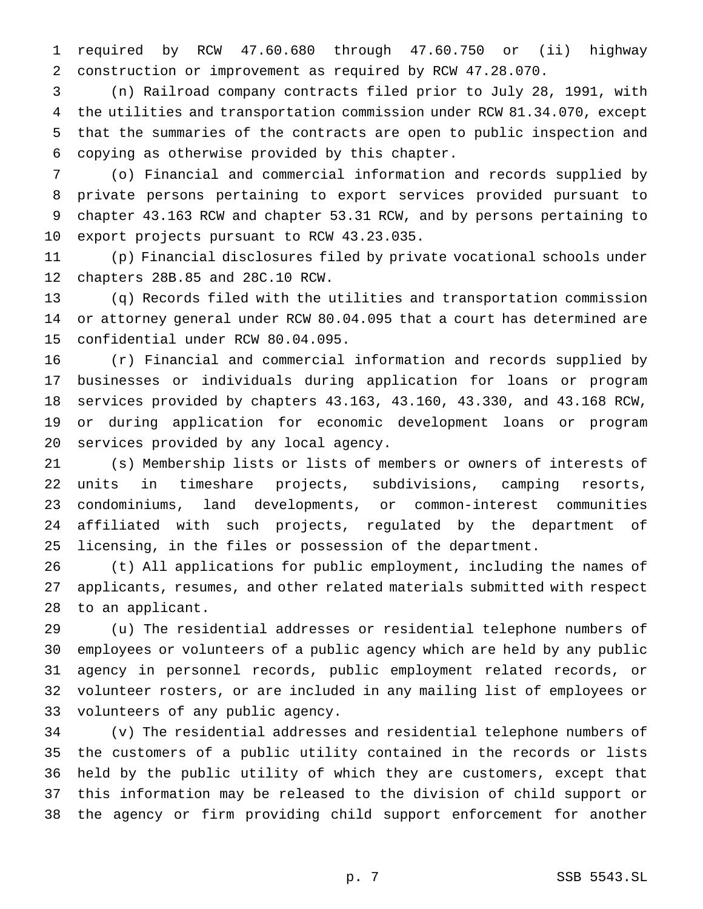required by RCW 47.60.680 through 47.60.750 or (ii) highway construction or improvement as required by RCW 47.28.070.

 (n) Railroad company contracts filed prior to July 28, 1991, with the utilities and transportation commission under RCW 81.34.070, except that the summaries of the contracts are open to public inspection and copying as otherwise provided by this chapter.

 (o) Financial and commercial information and records supplied by private persons pertaining to export services provided pursuant to chapter 43.163 RCW and chapter 53.31 RCW, and by persons pertaining to export projects pursuant to RCW 43.23.035.

 (p) Financial disclosures filed by private vocational schools under chapters 28B.85 and 28C.10 RCW.

 (q) Records filed with the utilities and transportation commission or attorney general under RCW 80.04.095 that a court has determined are confidential under RCW 80.04.095.

 (r) Financial and commercial information and records supplied by businesses or individuals during application for loans or program services provided by chapters 43.163, 43.160, 43.330, and 43.168 RCW, or during application for economic development loans or program services provided by any local agency.

 (s) Membership lists or lists of members or owners of interests of units in timeshare projects, subdivisions, camping resorts, condominiums, land developments, or common-interest communities affiliated with such projects, regulated by the department of licensing, in the files or possession of the department.

 (t) All applications for public employment, including the names of applicants, resumes, and other related materials submitted with respect to an applicant.

 (u) The residential addresses or residential telephone numbers of employees or volunteers of a public agency which are held by any public agency in personnel records, public employment related records, or volunteer rosters, or are included in any mailing list of employees or volunteers of any public agency.

 (v) The residential addresses and residential telephone numbers of the customers of a public utility contained in the records or lists held by the public utility of which they are customers, except that this information may be released to the division of child support or the agency or firm providing child support enforcement for another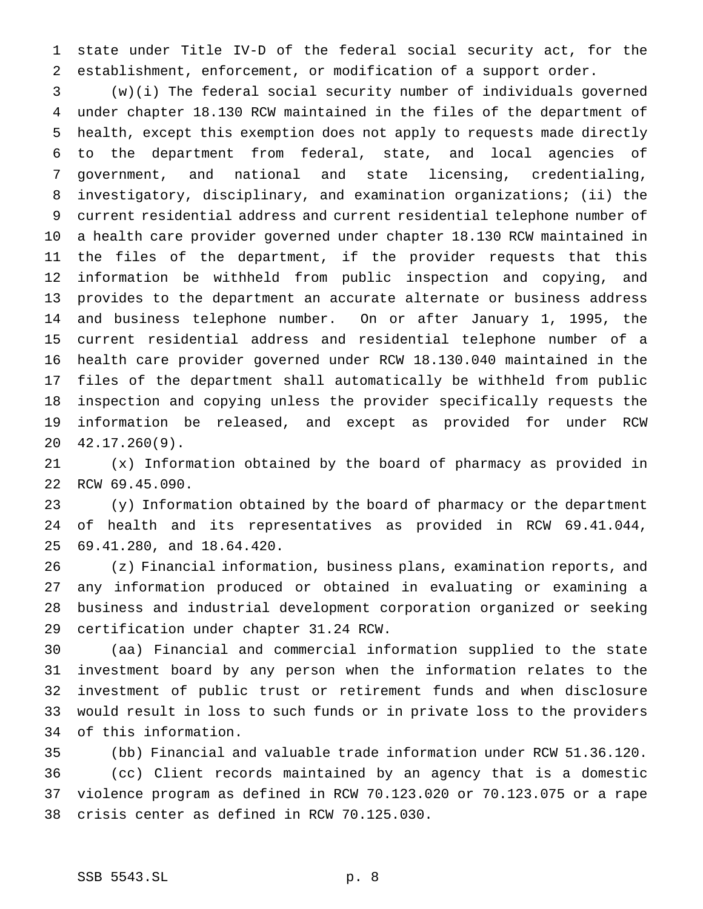state under Title IV-D of the federal social security act, for the establishment, enforcement, or modification of a support order.

 (w)(i) The federal social security number of individuals governed under chapter 18.130 RCW maintained in the files of the department of health, except this exemption does not apply to requests made directly to the department from federal, state, and local agencies of government, and national and state licensing, credentialing, investigatory, disciplinary, and examination organizations; (ii) the current residential address and current residential telephone number of a health care provider governed under chapter 18.130 RCW maintained in the files of the department, if the provider requests that this information be withheld from public inspection and copying, and provides to the department an accurate alternate or business address and business telephone number. On or after January 1, 1995, the current residential address and residential telephone number of a health care provider governed under RCW 18.130.040 maintained in the files of the department shall automatically be withheld from public inspection and copying unless the provider specifically requests the information be released, and except as provided for under RCW 42.17.260(9).

 (x) Information obtained by the board of pharmacy as provided in RCW 69.45.090.

 (y) Information obtained by the board of pharmacy or the department of health and its representatives as provided in RCW 69.41.044, 69.41.280, and 18.64.420.

 (z) Financial information, business plans, examination reports, and any information produced or obtained in evaluating or examining a business and industrial development corporation organized or seeking certification under chapter 31.24 RCW.

 (aa) Financial and commercial information supplied to the state investment board by any person when the information relates to the investment of public trust or retirement funds and when disclosure would result in loss to such funds or in private loss to the providers of this information.

 (bb) Financial and valuable trade information under RCW 51.36.120. (cc) Client records maintained by an agency that is a domestic violence program as defined in RCW 70.123.020 or 70.123.075 or a rape crisis center as defined in RCW 70.125.030.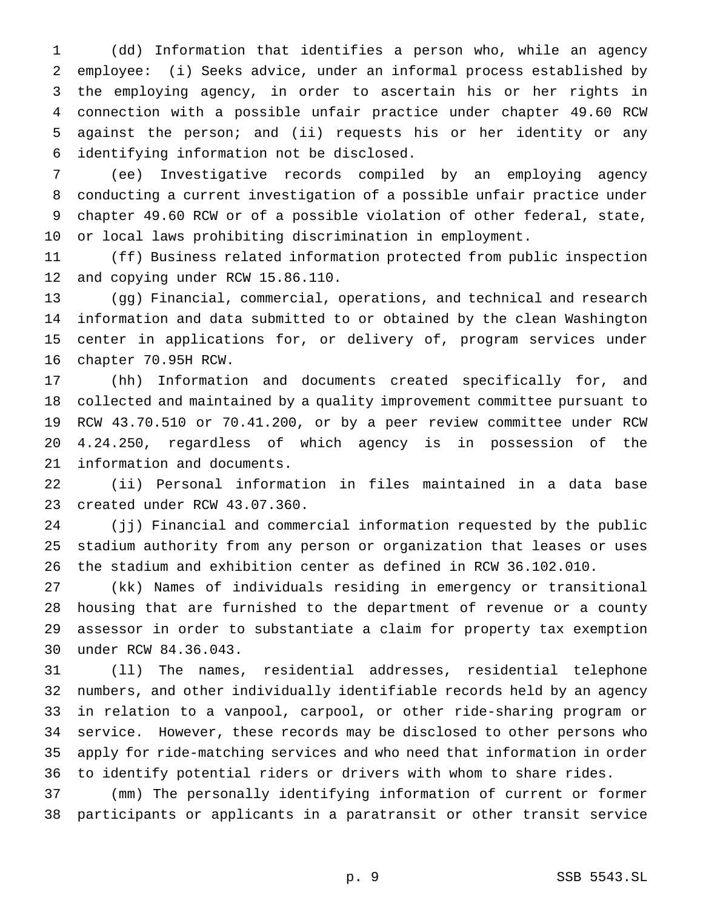(dd) Information that identifies a person who, while an agency employee: (i) Seeks advice, under an informal process established by the employing agency, in order to ascertain his or her rights in connection with a possible unfair practice under chapter 49.60 RCW against the person; and (ii) requests his or her identity or any identifying information not be disclosed.

 (ee) Investigative records compiled by an employing agency conducting a current investigation of a possible unfair practice under chapter 49.60 RCW or of a possible violation of other federal, state, or local laws prohibiting discrimination in employment.

 (ff) Business related information protected from public inspection and copying under RCW 15.86.110.

 (gg) Financial, commercial, operations, and technical and research information and data submitted to or obtained by the clean Washington center in applications for, or delivery of, program services under chapter 70.95H RCW.

 (hh) Information and documents created specifically for, and collected and maintained by a quality improvement committee pursuant to RCW 43.70.510 or 70.41.200, or by a peer review committee under RCW 4.24.250, regardless of which agency is in possession of the information and documents.

 (ii) Personal information in files maintained in a data base created under RCW 43.07.360.

 (jj) Financial and commercial information requested by the public stadium authority from any person or organization that leases or uses the stadium and exhibition center as defined in RCW 36.102.010.

 (kk) Names of individuals residing in emergency or transitional housing that are furnished to the department of revenue or a county assessor in order to substantiate a claim for property tax exemption under RCW 84.36.043.

 (ll) The names, residential addresses, residential telephone numbers, and other individually identifiable records held by an agency in relation to a vanpool, carpool, or other ride-sharing program or service. However, these records may be disclosed to other persons who apply for ride-matching services and who need that information in order to identify potential riders or drivers with whom to share rides.

 (mm) The personally identifying information of current or former participants or applicants in a paratransit or other transit service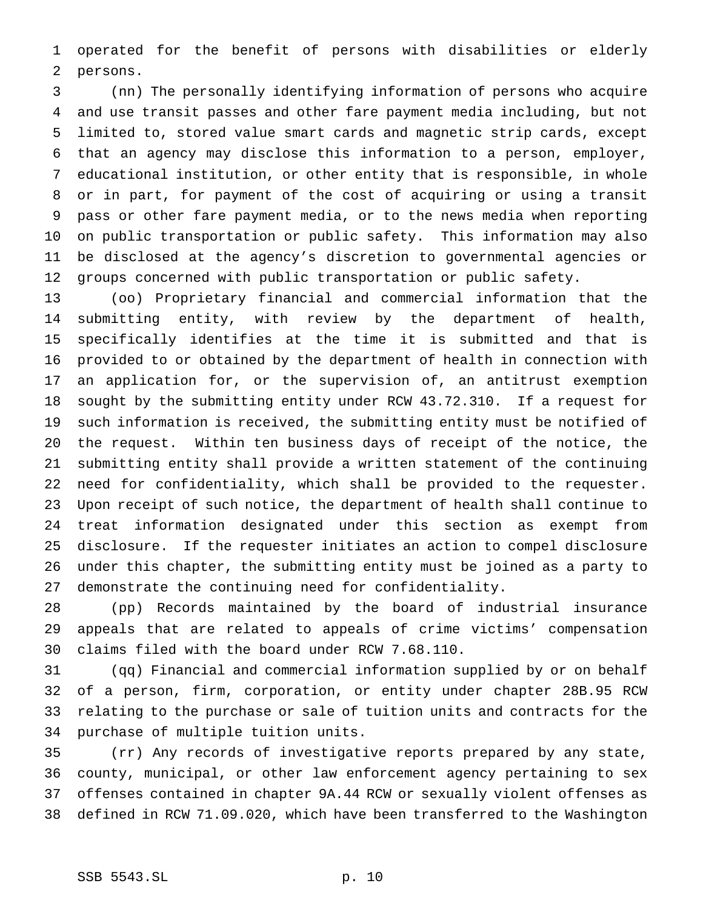operated for the benefit of persons with disabilities or elderly persons.

 (nn) The personally identifying information of persons who acquire and use transit passes and other fare payment media including, but not limited to, stored value smart cards and magnetic strip cards, except that an agency may disclose this information to a person, employer, educational institution, or other entity that is responsible, in whole or in part, for payment of the cost of acquiring or using a transit pass or other fare payment media, or to the news media when reporting on public transportation or public safety. This information may also be disclosed at the agency's discretion to governmental agencies or groups concerned with public transportation or public safety.

 (oo) Proprietary financial and commercial information that the submitting entity, with review by the department of health, specifically identifies at the time it is submitted and that is provided to or obtained by the department of health in connection with an application for, or the supervision of, an antitrust exemption sought by the submitting entity under RCW 43.72.310. If a request for such information is received, the submitting entity must be notified of the request. Within ten business days of receipt of the notice, the submitting entity shall provide a written statement of the continuing need for confidentiality, which shall be provided to the requester. Upon receipt of such notice, the department of health shall continue to treat information designated under this section as exempt from disclosure. If the requester initiates an action to compel disclosure under this chapter, the submitting entity must be joined as a party to demonstrate the continuing need for confidentiality.

 (pp) Records maintained by the board of industrial insurance appeals that are related to appeals of crime victims' compensation claims filed with the board under RCW 7.68.110.

 (qq) Financial and commercial information supplied by or on behalf of a person, firm, corporation, or entity under chapter 28B.95 RCW relating to the purchase or sale of tuition units and contracts for the purchase of multiple tuition units.

 (rr) Any records of investigative reports prepared by any state, county, municipal, or other law enforcement agency pertaining to sex offenses contained in chapter 9A.44 RCW or sexually violent offenses as defined in RCW 71.09.020, which have been transferred to the Washington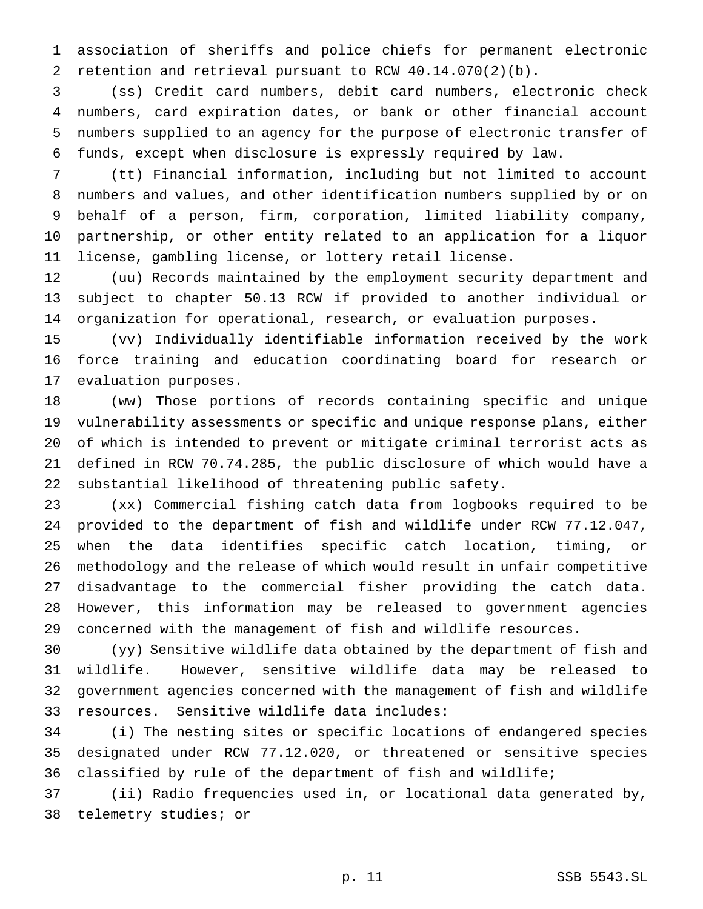association of sheriffs and police chiefs for permanent electronic retention and retrieval pursuant to RCW 40.14.070(2)(b).

 (ss) Credit card numbers, debit card numbers, electronic check numbers, card expiration dates, or bank or other financial account numbers supplied to an agency for the purpose of electronic transfer of funds, except when disclosure is expressly required by law.

 (tt) Financial information, including but not limited to account numbers and values, and other identification numbers supplied by or on behalf of a person, firm, corporation, limited liability company, partnership, or other entity related to an application for a liquor license, gambling license, or lottery retail license.

 (uu) Records maintained by the employment security department and subject to chapter 50.13 RCW if provided to another individual or organization for operational, research, or evaluation purposes.

 (vv) Individually identifiable information received by the work force training and education coordinating board for research or evaluation purposes.

 (ww) Those portions of records containing specific and unique vulnerability assessments or specific and unique response plans, either of which is intended to prevent or mitigate criminal terrorist acts as defined in RCW 70.74.285, the public disclosure of which would have a substantial likelihood of threatening public safety.

 (xx) Commercial fishing catch data from logbooks required to be provided to the department of fish and wildlife under RCW 77.12.047, when the data identifies specific catch location, timing, or methodology and the release of which would result in unfair competitive disadvantage to the commercial fisher providing the catch data. However, this information may be released to government agencies concerned with the management of fish and wildlife resources.

 (yy) Sensitive wildlife data obtained by the department of fish and wildlife. However, sensitive wildlife data may be released to government agencies concerned with the management of fish and wildlife resources. Sensitive wildlife data includes:

 (i) The nesting sites or specific locations of endangered species designated under RCW 77.12.020, or threatened or sensitive species classified by rule of the department of fish and wildlife;

 (ii) Radio frequencies used in, or locational data generated by, telemetry studies; or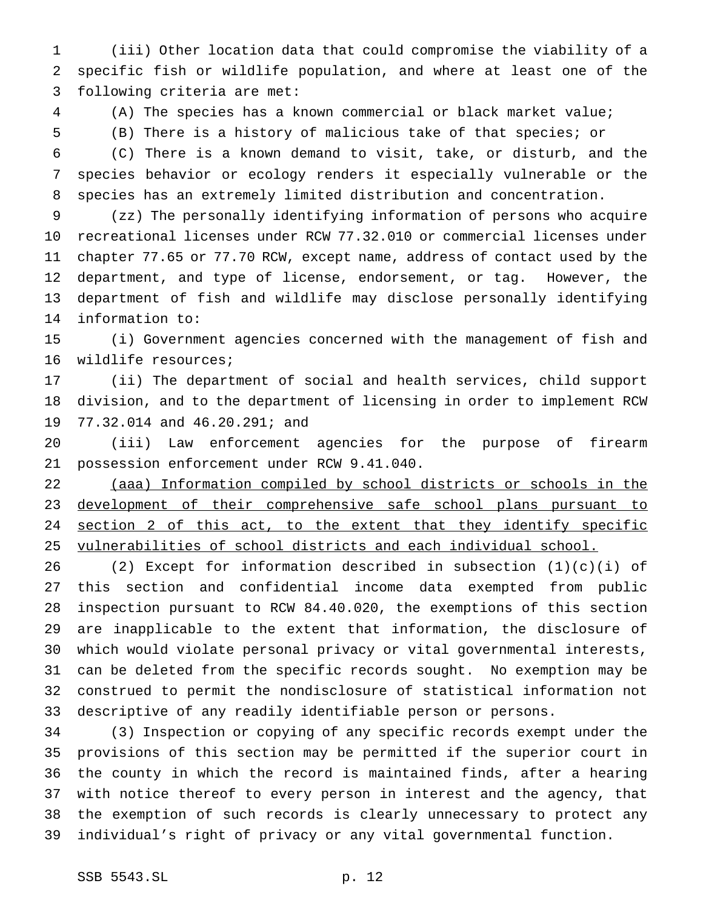(iii) Other location data that could compromise the viability of a specific fish or wildlife population, and where at least one of the following criteria are met:

(A) The species has a known commercial or black market value;

(B) There is a history of malicious take of that species; or

 (C) There is a known demand to visit, take, or disturb, and the species behavior or ecology renders it especially vulnerable or the species has an extremely limited distribution and concentration.

 (zz) The personally identifying information of persons who acquire recreational licenses under RCW 77.32.010 or commercial licenses under chapter 77.65 or 77.70 RCW, except name, address of contact used by the department, and type of license, endorsement, or tag. However, the department of fish and wildlife may disclose personally identifying information to:

 (i) Government agencies concerned with the management of fish and wildlife resources;

 (ii) The department of social and health services, child support division, and to the department of licensing in order to implement RCW 77.32.014 and 46.20.291; and

 (iii) Law enforcement agencies for the purpose of firearm possession enforcement under RCW 9.41.040.

 (aaa) Information compiled by school districts or schools in the 23 development of their comprehensive safe school plans pursuant to 24 section 2 of this act, to the extent that they identify specific vulnerabilities of school districts and each individual school.

 (2) Except for information described in subsection (1)(c)(i) of this section and confidential income data exempted from public inspection pursuant to RCW 84.40.020, the exemptions of this section are inapplicable to the extent that information, the disclosure of which would violate personal privacy or vital governmental interests, can be deleted from the specific records sought. No exemption may be construed to permit the nondisclosure of statistical information not descriptive of any readily identifiable person or persons.

 (3) Inspection or copying of any specific records exempt under the provisions of this section may be permitted if the superior court in the county in which the record is maintained finds, after a hearing with notice thereof to every person in interest and the agency, that the exemption of such records is clearly unnecessary to protect any individual's right of privacy or any vital governmental function.